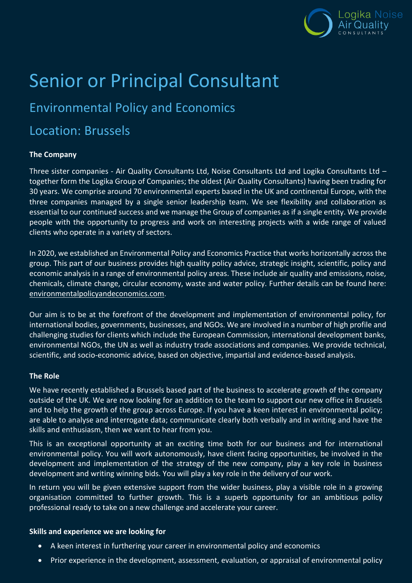

# Senior or Principal Consultant

## Environmental Policy and Economics

### Location: Brussels

#### **The Company**

Three sister companies - Air Quality Consultants Ltd, Noise Consultants Ltd and Logika Consultants Ltd – together form the Logika Group of Companies; the oldest (Air Quality Consultants) having been trading for 30 years. We comprise around 70 environmental experts based in the UK and continental Europe, with the three companies managed by a single senior leadership team. We see flexibility and collaboration as essential to our continued success and we manage the Group of companies as if a single entity. We provide people with the opportunity to progress and work on interesting projects with a wide range of valued clients who operate in a variety of sectors.

In 2020, we established an Environmental Policy and Economics Practice that works horizontally across the group. This part of our business provides high quality policy advice, strategic insight, scientific, policy and economic analysis in a range of environmental policy areas. These include air quality and emissions, noise, chemicals, climate change, circular economy, waste and water policy. Further details can be found here: [environmentalpolicyandeconomics.com.](https://www.environmentalpolicyandeconomics.com/)

Our aim is to be at the forefront of the development and implementation of environmental policy, for international bodies, governments, businesses, and NGOs. We are involved in a number of high profile and challenging studies for clients which include the European Commission, international development banks, environmental NGOs, the UN as well as industry trade associations and companies. We provide technical, scientific, and socio-economic advice, based on objective, impartial and evidence-based analysis.

#### **The Role**

We have recently established a Brussels based part of the business to accelerate growth of the company outside of the UK. We are now looking for an addition to the team to support our new office in Brussels and to help the growth of the group across Europe. If you have a keen interest in environmental policy; are able to analyse and interrogate data; communicate clearly both verbally and in writing and have the skills and enthusiasm, then we want to hear from you.

This is an exceptional opportunity at an exciting time both for our business and for international environmental policy. You will work autonomously, have client facing opportunities, be involved in the development and implementation of the strategy of the new company, play a key role in business development and writing winning bids. You will play a key role in the delivery of our work.

In return you will be given extensive support from the wider business, play a visible role in a growing organisation committed to further growth. This is a superb opportunity for an ambitious policy professional ready to take on a new challenge and accelerate your career.

#### **Skills and experience we are looking for**

- A keen interest in furthering your career in environmental policy and economics
- Prior experience in the development, assessment, evaluation, or appraisal of environmental policy